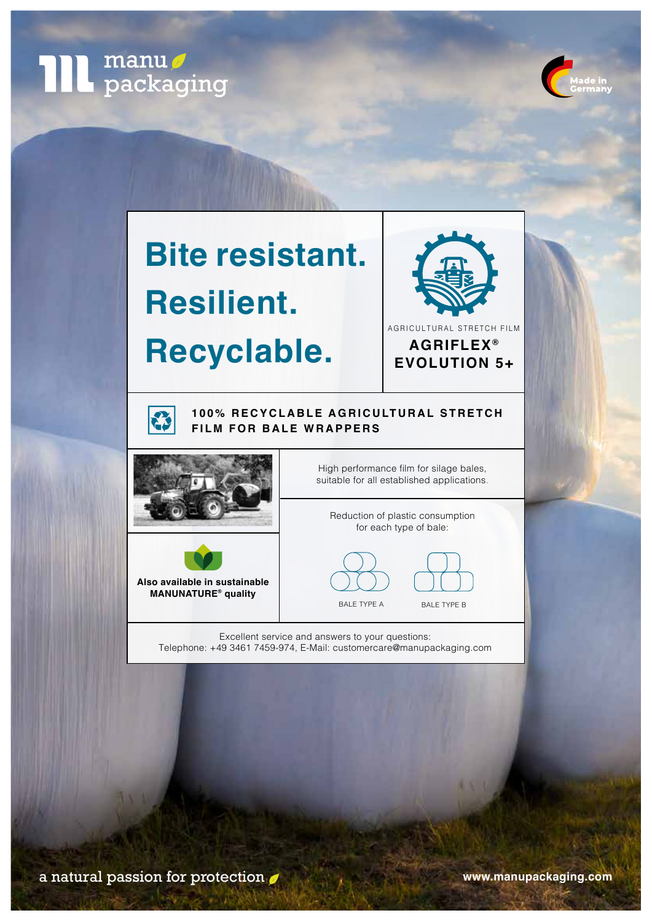



# **Bite resistant. Resilient.**

# **Recyclable.**





### **100% RECYCLABLE AGRICULTURAL STRETCH FILM FOR BALE WRAPPERS**



2



High performance film for silage bales, suitable for all established applications.

Reduction of plastic consumption for each type of bale:



Excellent service and answers to your questions: Telephone: +49 3461 7459-974, E-Mail: customercare@manupackaging.com